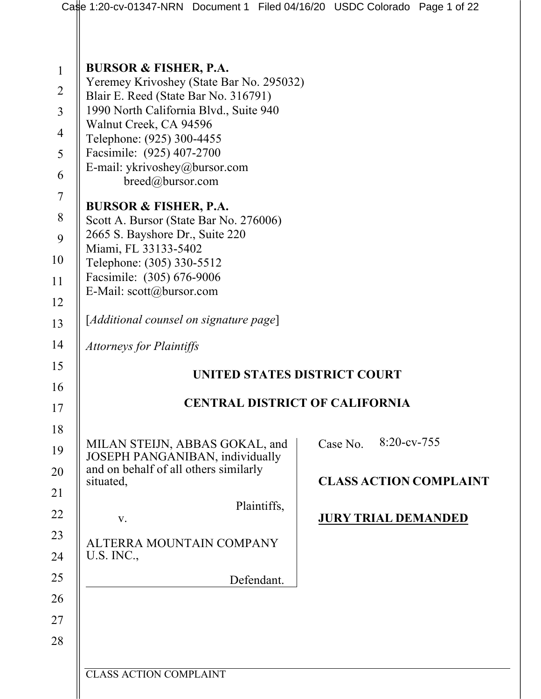|                | Case 1:20-cv-01347-NRN Document 1 Filed 04/16/20 USDC Colorado Page 1 of 22      |  |          |                |                               |  |  |  |
|----------------|----------------------------------------------------------------------------------|--|----------|----------------|-------------------------------|--|--|--|
|                |                                                                                  |  |          |                |                               |  |  |  |
| $\mathbf{1}$   | <b>BURSOR &amp; FISHER, P.A.</b>                                                 |  |          |                |                               |  |  |  |
| $\overline{2}$ | Yeremey Krivoshey (State Bar No. 295032)<br>Blair E. Reed (State Bar No. 316791) |  |          |                |                               |  |  |  |
| $\overline{3}$ | 1990 North California Blvd., Suite 940                                           |  |          |                |                               |  |  |  |
| $\overline{4}$ | Walnut Creek, CA 94596<br>Telephone: (925) 300-4455                              |  |          |                |                               |  |  |  |
| 5              | Facsimile: (925) 407-2700                                                        |  |          |                |                               |  |  |  |
| 6              | E-mail: ykrivoshey@bursor.com<br>breed@bursor.com                                |  |          |                |                               |  |  |  |
| $\tau$         |                                                                                  |  |          |                |                               |  |  |  |
| 8              | <b>BURSOR &amp; FISHER, P.A.</b><br>Scott A. Bursor (State Bar No. 276006)       |  |          |                |                               |  |  |  |
| 9              | 2665 S. Bayshore Dr., Suite 220                                                  |  |          |                |                               |  |  |  |
| 10             | Miami, FL 33133-5402<br>Telephone: (305) 330-5512                                |  |          |                |                               |  |  |  |
| 11             | Facsimile: (305) 676-9006                                                        |  |          |                |                               |  |  |  |
| 12             | E-Mail: scott@bursor.com                                                         |  |          |                |                               |  |  |  |
| 13             | [Additional counsel on signature page]                                           |  |          |                |                               |  |  |  |
| 14             | <b>Attorneys for Plaintiffs</b>                                                  |  |          |                |                               |  |  |  |
| 15             | UNITED STATES DISTRICT COURT                                                     |  |          |                |                               |  |  |  |
| 16             | <b>CENTRAL DISTRICT OF CALIFORNIA</b>                                            |  |          |                |                               |  |  |  |
| 17             |                                                                                  |  |          |                |                               |  |  |  |
| 18             | MILAN STEIJN, ABBAS GOKAL, and                                                   |  | Case No. | $8:20$ -cv-755 |                               |  |  |  |
| 19             | JOSEPH PANGANIBAN, individually<br>and on behalf of all others similarly         |  |          |                |                               |  |  |  |
| 20             | situated,                                                                        |  |          |                | <b>CLASS ACTION COMPLAINT</b> |  |  |  |
| 21             | Plaintiffs,                                                                      |  |          |                |                               |  |  |  |
| 22             | V.                                                                               |  |          |                | <b>JURY TRIAL DEMANDED</b>    |  |  |  |
| 23             | ALTERRA MOUNTAIN COMPANY                                                         |  |          |                |                               |  |  |  |
| 24             | U.S. INC.,                                                                       |  |          |                |                               |  |  |  |
| 25             | Defendant.                                                                       |  |          |                |                               |  |  |  |
| 26             |                                                                                  |  |          |                |                               |  |  |  |
| 27             |                                                                                  |  |          |                |                               |  |  |  |
| 28             |                                                                                  |  |          |                |                               |  |  |  |
|                | <b>CLASS ACTION COMPLAINT</b>                                                    |  |          |                |                               |  |  |  |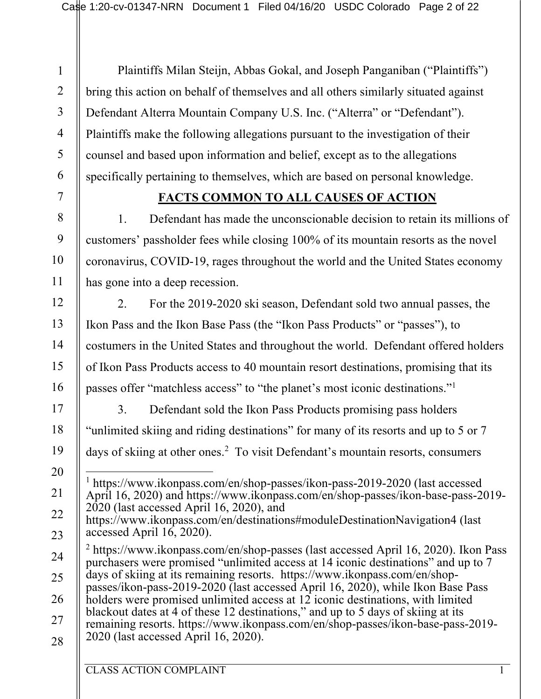Plaintiffs Milan Steijn, Abbas Gokal, and Joseph Panganiban ("Plaintiffs") bring this action on behalf of themselves and all others similarly situated against Defendant Alterra Mountain Company U.S. Inc. ("Alterra" or "Defendant"). Plaintiffs make the following allegations pursuant to the investigation of their counsel and based upon information and belief, except as to the allegations specifically pertaining to themselves, which are based on personal knowledge.

# **FACTS COMMON TO ALL CAUSES OF ACTION**

1. Defendant has made the unconscionable decision to retain its millions of customers' passholder fees while closing 100% of its mountain resorts as the novel coronavirus, COVID-19, rages throughout the world and the United States economy has gone into a deep recession.

2. For the 2019-2020 ski season, Defendant sold two annual passes, the Ikon Pass and the Ikon Base Pass (the "Ikon Pass Products" or "passes"), to costumers in the United States and throughout the world. Defendant offered holders of Ikon Pass Products access to 40 mountain resort destinations, promising that its passes offer "matchless access" to "the planet's most iconic destinations."1

3. Defendant sold the Ikon Pass Products promising pass holders "unlimited skiing and riding destinations" for many of its resorts and up to 5 or 7 days of skiing at other ones.<sup>2</sup> To visit Defendant's mountain resorts, consumers

1

2

3

4

5

6

7

8

9

10

11

12

13

14

15

16

17

18

19

20

21

22

<sup>1</sup> https://www.ikonpass.com/en/shop-passes/ikon-pass-2019-2020 (last accessed April 16, 2020) and https://www.ikonpass.com/en/shop-passes/ikon-base-pass-2019- 2020 (last accessed April 16, 2020), and

https://www.ikonpass.com/en/destinations#moduleDestinationNavigation4 (last accessed April 16, 2020).

<sup>24</sup> 25 26 27 28 <sup>2</sup> https://www.ikonpass.com/en/shop-passes (last accessed April 16, 2020). Ikon Pass purchasers were promised "unlimited access at 14 iconic destinations" and up to 7 days of skiing at its remaining resorts. https://www.ikonpass.com/en/shoppasses/ikon-pass-2019-2020 (last accessed April 16, 2020), while Ikon Base Pass holders were promised unlimited access at 12 iconic destinations, with limited blackout dates at 4 of these 12 destinations," and up to 5 days of skiing at its remaining resorts. https://www.ikonpass.com/en/shop-passes/ikon-base-pass-2019- 2020 (last accessed April 16, 2020).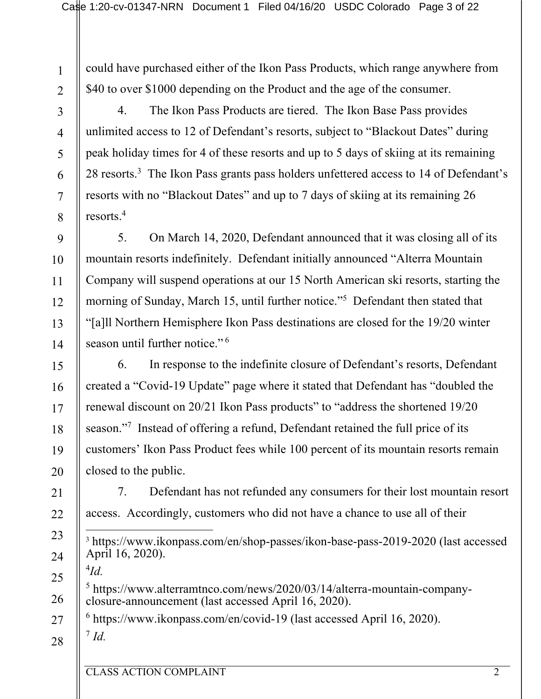could have purchased either of the Ikon Pass Products, which range anywhere from \$40 to over \$1000 depending on the Product and the age of the consumer.

4. The Ikon Pass Products are tiered. The Ikon Base Pass provides unlimited access to 12 of Defendant's resorts, subject to "Blackout Dates" during peak holiday times for 4 of these resorts and up to 5 days of skiing at its remaining 28 resorts.3 The Ikon Pass grants pass holders unfettered access to 14 of Defendant's resorts with no "Blackout Dates" and up to 7 days of skiing at its remaining 26 resorts.4

5. On March 14, 2020, Defendant announced that it was closing all of its mountain resorts indefinitely. Defendant initially announced "Alterra Mountain Company will suspend operations at our 15 North American ski resorts, starting the morning of Sunday, March 15, until further notice."<sup>5</sup> Defendant then stated that "[a]ll Northern Hemisphere Ikon Pass destinations are closed for the 19/20 winter season until further notice."<sup>6</sup>

6. In response to the indefinite closure of Defendant's resorts, Defendant created a "Covid-19 Update" page where it stated that Defendant has "doubled the renewal discount on 20/21 Ikon Pass products" to "address the shortened 19/20 season."<sup>7</sup> Instead of offering a refund, Defendant retained the full price of its customers' Ikon Pass Product fees while 100 percent of its mountain resorts remain closed to the public.

7. Defendant has not refunded any consumers for their lost mountain resort access. Accordingly, customers who did not have a chance to use all of their

<sup>3</sup> https://www.ikonpass.com/en/shop-passes/ikon-base-pass-2019-2020 (last accessed April 16, 2020).

4 *Id.* <sup>5</sup> https://www.alterramtnco.com/news/2020/03/14/alterra-mountain-company- closure-announcement (last accessed April 16, 2020).

 $6$  https://www.ikonpass.com/en/covid-19 (last accessed April 16, 2020).

28

<sup>7</sup> *Id.*

1

2

3

4

5

6

7

8

9

10

11

12

13

14

15

16

17

18

19

20

21

22

23

24

25

26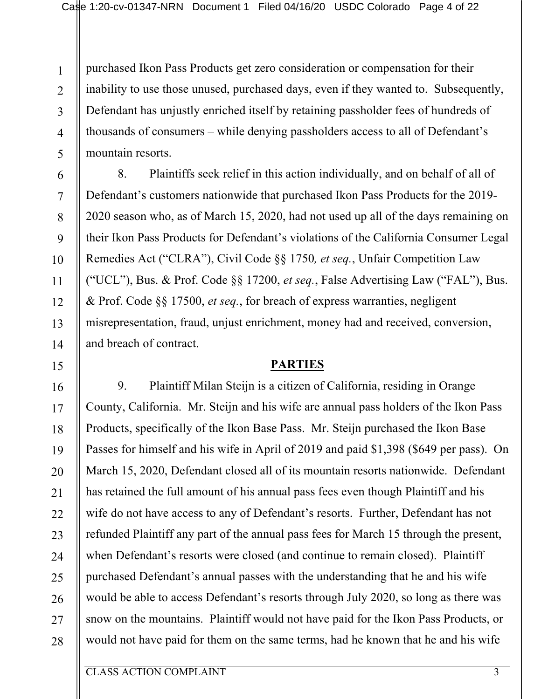1 2 3 4 5 purchased Ikon Pass Products get zero consideration or compensation for their inability to use those unused, purchased days, even if they wanted to. Subsequently, Defendant has unjustly enriched itself by retaining passholder fees of hundreds of thousands of consumers – while denying passholders access to all of Defendant's mountain resorts.

8. Plaintiffs seek relief in this action individually, and on behalf of all of Defendant's customers nationwide that purchased Ikon Pass Products for the 2019- 2020 season who, as of March 15, 2020, had not used up all of the days remaining on their Ikon Pass Products for Defendant's violations of the California Consumer Legal Remedies Act ("CLRA"), Civil Code §§ 1750*, et seq.*, Unfair Competition Law ("UCL"), Bus. & Prof. Code §§ 17200, *et seq.*, False Advertising Law ("FAL"), Bus. & Prof. Code §§ 17500, *et seq.*, for breach of express warranties, negligent misrepresentation, fraud, unjust enrichment, money had and received, conversion, and breach of contract.

#### **PARTIES**

9. Plaintiff Milan Steijn is a citizen of California, residing in Orange County, California. Mr. Steijn and his wife are annual pass holders of the Ikon Pass Products, specifically of the Ikon Base Pass. Mr. Steijn purchased the Ikon Base Passes for himself and his wife in April of 2019 and paid \$1,398 (\$649 per pass). On March 15, 2020, Defendant closed all of its mountain resorts nationwide. Defendant has retained the full amount of his annual pass fees even though Plaintiff and his wife do not have access to any of Defendant's resorts. Further, Defendant has not refunded Plaintiff any part of the annual pass fees for March 15 through the present, when Defendant's resorts were closed (and continue to remain closed). Plaintiff purchased Defendant's annual passes with the understanding that he and his wife would be able to access Defendant's resorts through July 2020, so long as there was snow on the mountains. Plaintiff would not have paid for the Ikon Pass Products, or would not have paid for them on the same terms, had he known that he and his wife

CLASS ACTION COMPLAINT 3

6

7

8

9

10

11

12

13

14

15

16

17

18

19

20

21

22

23

24

25

26

27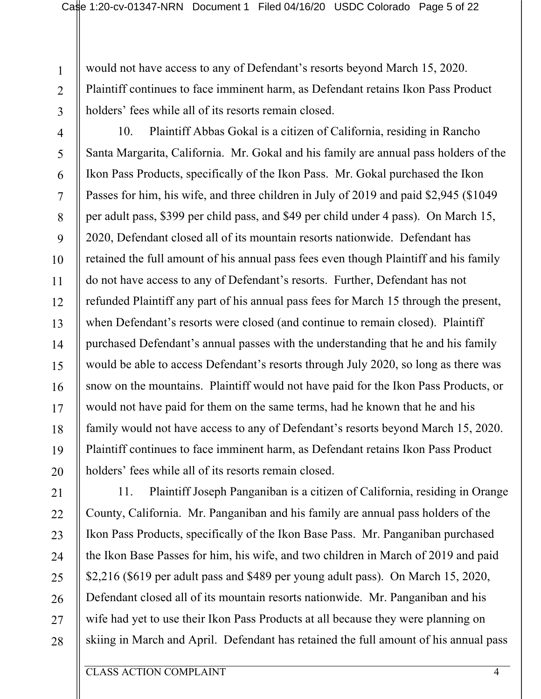would not have access to any of Defendant's resorts beyond March 15, 2020. Plaintiff continues to face imminent harm, as Defendant retains Ikon Pass Product holders' fees while all of its resorts remain closed.

3 4

1

2

5

6

7

8

9

10

11

12

13

14

15

16

17

18

19

10. Plaintiff Abbas Gokal is a citizen of California, residing in Rancho Santa Margarita, California. Mr. Gokal and his family are annual pass holders of the Ikon Pass Products, specifically of the Ikon Pass. Mr. Gokal purchased the Ikon Passes for him, his wife, and three children in July of 2019 and paid \$2,945 (\$1049 per adult pass, \$399 per child pass, and \$49 per child under 4 pass). On March 15, 2020, Defendant closed all of its mountain resorts nationwide. Defendant has retained the full amount of his annual pass fees even though Plaintiff and his family do not have access to any of Defendant's resorts. Further, Defendant has not refunded Plaintiff any part of his annual pass fees for March 15 through the present, when Defendant's resorts were closed (and continue to remain closed). Plaintiff purchased Defendant's annual passes with the understanding that he and his family would be able to access Defendant's resorts through July 2020, so long as there was snow on the mountains. Plaintiff would not have paid for the Ikon Pass Products, or would not have paid for them on the same terms, had he known that he and his family would not have access to any of Defendant's resorts beyond March 15, 2020. Plaintiff continues to face imminent harm, as Defendant retains Ikon Pass Product holders' fees while all of its resorts remain closed.

28

11. Plaintiff Joseph Panganiban is a citizen of California, residing in Orange County, California. Mr. Panganiban and his family are annual pass holders of the Ikon Pass Products, specifically of the Ikon Base Pass. Mr. Panganiban purchased the Ikon Base Passes for him, his wife, and two children in March of 2019 and paid \$2,216 (\$619 per adult pass and \$489 per young adult pass). On March 15, 2020, Defendant closed all of its mountain resorts nationwide. Mr. Panganiban and his wife had yet to use their Ikon Pass Products at all because they were planning on skiing in March and April. Defendant has retained the full amount of his annual pass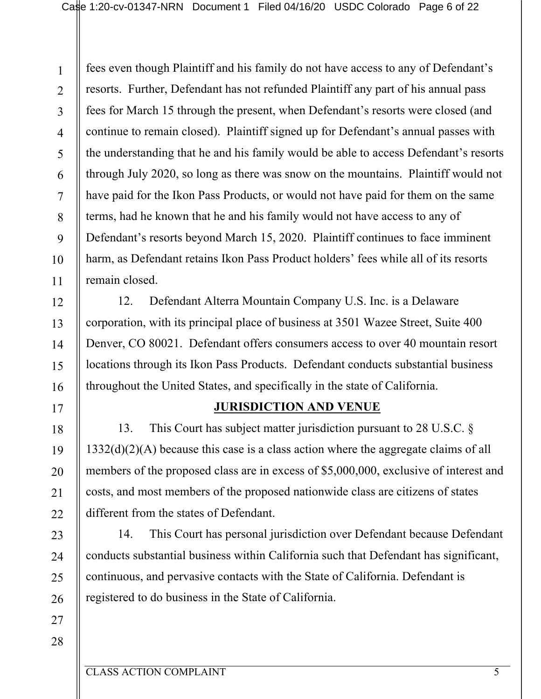1 2 3 4 5 6 7 8 9 10 11 fees even though Plaintiff and his family do not have access to any of Defendant's resorts. Further, Defendant has not refunded Plaintiff any part of his annual pass fees for March 15 through the present, when Defendant's resorts were closed (and continue to remain closed). Plaintiff signed up for Defendant's annual passes with the understanding that he and his family would be able to access Defendant's resorts through July 2020, so long as there was snow on the mountains. Plaintiff would not have paid for the Ikon Pass Products, or would not have paid for them on the same terms, had he known that he and his family would not have access to any of Defendant's resorts beyond March 15, 2020. Plaintiff continues to face imminent harm, as Defendant retains Ikon Pass Product holders' fees while all of its resorts remain closed.

12. Defendant Alterra Mountain Company U.S. Inc. is a Delaware corporation, with its principal place of business at 3501 Wazee Street, Suite 400 Denver, CO 80021. Defendant offers consumers access to over 40 mountain resort locations through its Ikon Pass Products. Defendant conducts substantial business throughout the United States, and specifically in the state of California.

### **JURISDICTION AND VENUE**

13. This Court has subject matter jurisdiction pursuant to 28 U.S.C. § 1332(d)(2)(A) because this case is a class action where the aggregate claims of all members of the proposed class are in excess of \$5,000,000, exclusive of interest and costs, and most members of the proposed nationwide class are citizens of states different from the states of Defendant.

14. This Court has personal jurisdiction over Defendant because Defendant conducts substantial business within California such that Defendant has significant, continuous, and pervasive contacts with the State of California. Defendant is registered to do business in the State of California.

25 26 27

12

13

14

15

16

17

18

19

20

21

22

23

24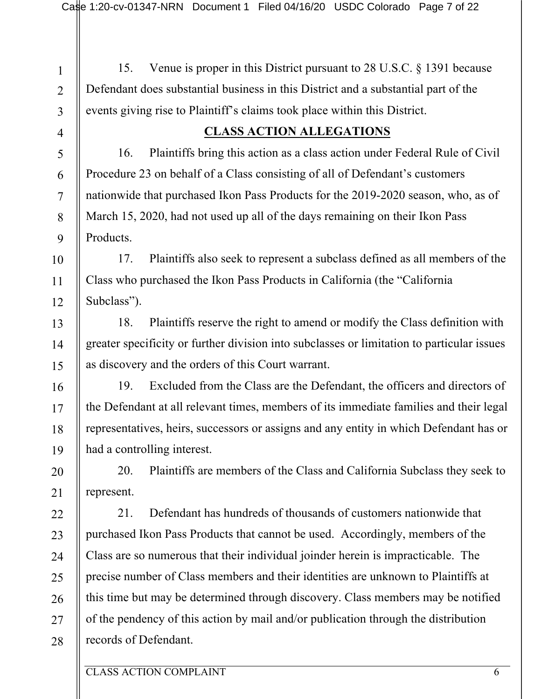1 2 3 4 5 6 7 8 9 10 11 12 13 14 15 16 17 18 19 20 21 22 23 24 25 26 27 28 15. Venue is proper in this District pursuant to 28 U.S.C. § 1391 because Defendant does substantial business in this District and a substantial part of the events giving rise to Plaintiff's claims took place within this District. **CLASS ACTION ALLEGATIONS** 16. Plaintiffs bring this action as a class action under Federal Rule of Civil Procedure 23 on behalf of a Class consisting of all of Defendant's customers nationwide that purchased Ikon Pass Products for the 2019-2020 season, who, as of March 15, 2020, had not used up all of the days remaining on their Ikon Pass Products. 17. Plaintiffs also seek to represent a subclass defined as all members of the Class who purchased the Ikon Pass Products in California (the "California Subclass"). 18. Plaintiffs reserve the right to amend or modify the Class definition with greater specificity or further division into subclasses or limitation to particular issues as discovery and the orders of this Court warrant. 19. Excluded from the Class are the Defendant, the officers and directors of the Defendant at all relevant times, members of its immediate families and their legal representatives, heirs, successors or assigns and any entity in which Defendant has or had a controlling interest. 20. Plaintiffs are members of the Class and California Subclass they seek to represent. 21. Defendant has hundreds of thousands of customers nationwide that purchased Ikon Pass Products that cannot be used. Accordingly, members of the Class are so numerous that their individual joinder herein is impracticable. The precise number of Class members and their identities are unknown to Plaintiffs at this time but may be determined through discovery. Class members may be notified of the pendency of this action by mail and/or publication through the distribution records of Defendant.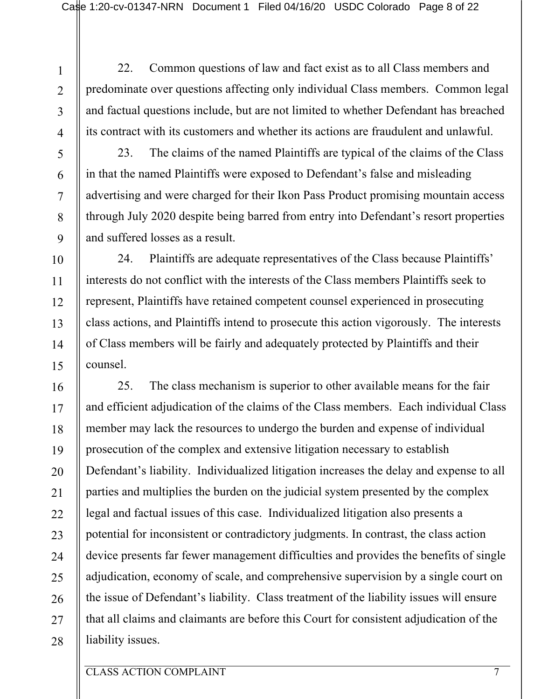7

8

9

10

11

12

13

14

15

16

17

18

19

20

21

22

23

24

25

26

27

28

22. Common questions of law and fact exist as to all Class members and predominate over questions affecting only individual Class members. Common legal and factual questions include, but are not limited to whether Defendant has breached its contract with its customers and whether its actions are fraudulent and unlawful.

23. The claims of the named Plaintiffs are typical of the claims of the Class in that the named Plaintiffs were exposed to Defendant's false and misleading advertising and were charged for their Ikon Pass Product promising mountain access through July 2020 despite being barred from entry into Defendant's resort properties and suffered losses as a result.

24. Plaintiffs are adequate representatives of the Class because Plaintiffs' interests do not conflict with the interests of the Class members Plaintiffs seek to represent, Plaintiffs have retained competent counsel experienced in prosecuting class actions, and Plaintiffs intend to prosecute this action vigorously. The interests of Class members will be fairly and adequately protected by Plaintiffs and their counsel.

25. The class mechanism is superior to other available means for the fair and efficient adjudication of the claims of the Class members. Each individual Class member may lack the resources to undergo the burden and expense of individual prosecution of the complex and extensive litigation necessary to establish Defendant's liability. Individualized litigation increases the delay and expense to all parties and multiplies the burden on the judicial system presented by the complex legal and factual issues of this case. Individualized litigation also presents a potential for inconsistent or contradictory judgments. In contrast, the class action device presents far fewer management difficulties and provides the benefits of single adjudication, economy of scale, and comprehensive supervision by a single court on the issue of Defendant's liability. Class treatment of the liability issues will ensure that all claims and claimants are before this Court for consistent adjudication of the liability issues.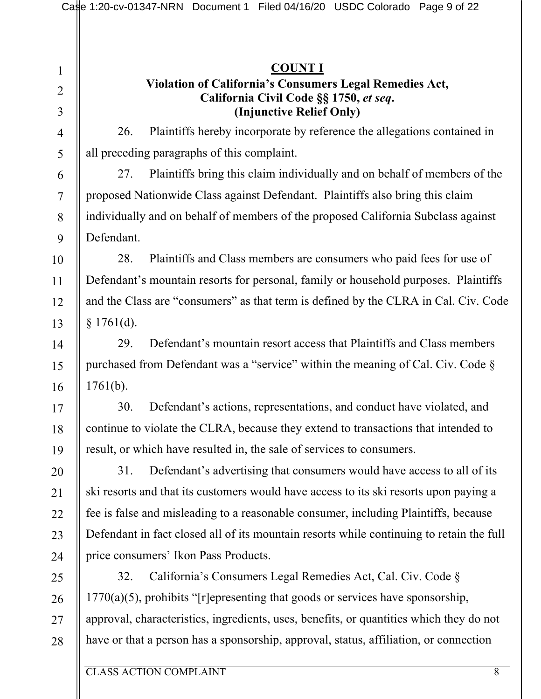1 2 3 4 5 6 7 8 9 10 11 12 13 14 15 16 17 18 19 20 21 22 23 24 25 26 27 28 **COUNT I Violation of California's Consumers Legal Remedies Act, California Civil Code §§ 1750,** *et seq***. (Injunctive Relief Only)** 26. Plaintiffs hereby incorporate by reference the allegations contained in all preceding paragraphs of this complaint. 27. Plaintiffs bring this claim individually and on behalf of members of the proposed Nationwide Class against Defendant. Plaintiffs also bring this claim individually and on behalf of members of the proposed California Subclass against Defendant. 28. Plaintiffs and Class members are consumers who paid fees for use of Defendant's mountain resorts for personal, family or household purposes. Plaintiffs and the Class are "consumers" as that term is defined by the CLRA in Cal. Civ. Code  $§ 1761(d).$ 29. Defendant's mountain resort access that Plaintiffs and Class members purchased from Defendant was a "service" within the meaning of Cal. Civ. Code §  $1761(b)$ . 30. Defendant's actions, representations, and conduct have violated, and continue to violate the CLRA, because they extend to transactions that intended to result, or which have resulted in, the sale of services to consumers. 31. Defendant's advertising that consumers would have access to all of its ski resorts and that its customers would have access to its ski resorts upon paying a fee is false and misleading to a reasonable consumer, including Plaintiffs, because Defendant in fact closed all of its mountain resorts while continuing to retain the full price consumers' Ikon Pass Products. 32. California's Consumers Legal Remedies Act, Cal. Civ. Code §  $1770(a)(5)$ , prohibits "[r]epresenting that goods or services have sponsorship, approval, characteristics, ingredients, uses, benefits, or quantities which they do not have or that a person has a sponsorship, approval, status, affiliation, or connection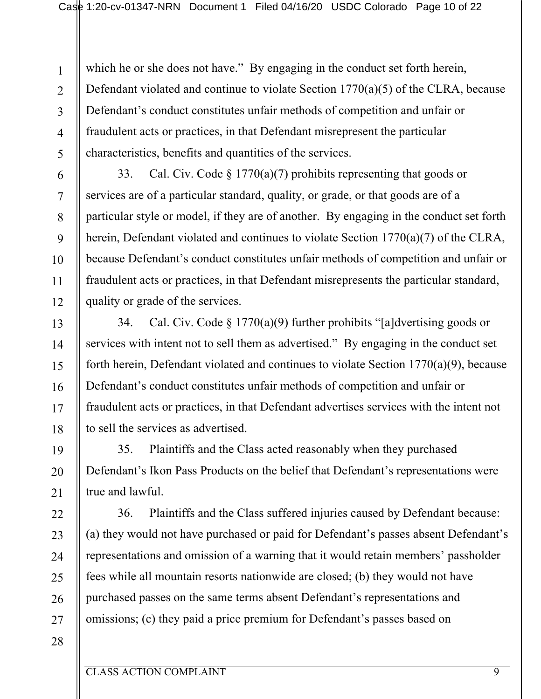1 2 3 4 5 which he or she does not have." By engaging in the conduct set forth herein, Defendant violated and continue to violate Section 1770(a)(5) of the CLRA, because Defendant's conduct constitutes unfair methods of competition and unfair or fraudulent acts or practices, in that Defendant misrepresent the particular characteristics, benefits and quantities of the services.

33. Cal. Civ. Code  $\S 1770(a)(7)$  prohibits representing that goods or services are of a particular standard, quality, or grade, or that goods are of a particular style or model, if they are of another. By engaging in the conduct set forth herein, Defendant violated and continues to violate Section 1770(a)(7) of the CLRA, because Defendant's conduct constitutes unfair methods of competition and unfair or fraudulent acts or practices, in that Defendant misrepresents the particular standard, quality or grade of the services.

34. Cal. Civ. Code  $\S 1770(a)(9)$  further prohibits "[a]dvertising goods or services with intent not to sell them as advertised." By engaging in the conduct set forth herein, Defendant violated and continues to violate Section 1770(a)(9), because Defendant's conduct constitutes unfair methods of competition and unfair or fraudulent acts or practices, in that Defendant advertises services with the intent not to sell the services as advertised.

35. Plaintiffs and the Class acted reasonably when they purchased Defendant's Ikon Pass Products on the belief that Defendant's representations were true and lawful.

36. Plaintiffs and the Class suffered injuries caused by Defendant because: (a) they would not have purchased or paid for Defendant's passes absent Defendant's representations and omission of a warning that it would retain members' passholder fees while all mountain resorts nationwide are closed; (b) they would not have purchased passes on the same terms absent Defendant's representations and omissions; (c) they paid a price premium for Defendant's passes based on

28

6

7

8

9

10

11

12

13

14

15

16

17

18

19

20

21

22

23

24

25

26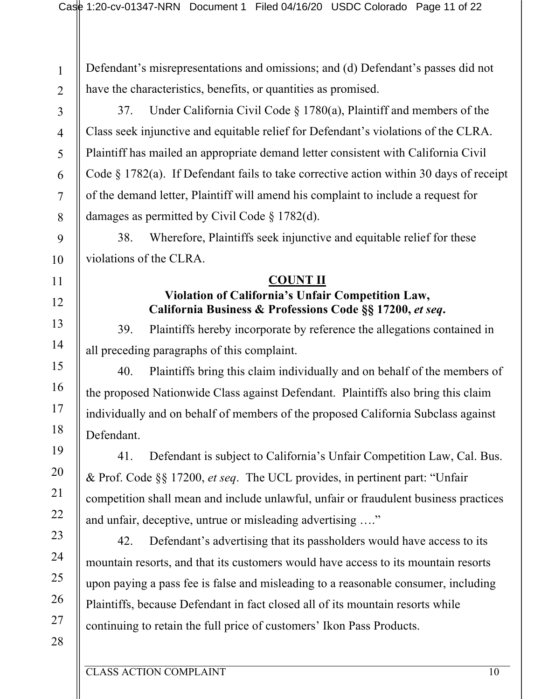Defendant's misrepresentations and omissions; and (d) Defendant's passes did not have the characteristics, benefits, or quantities as promised.

37. Under California Civil Code § 1780(a), Plaintiff and members of the Class seek injunctive and equitable relief for Defendant's violations of the CLRA. Plaintiff has mailed an appropriate demand letter consistent with California Civil Code § 1782(a). If Defendant fails to take corrective action within 30 days of receipt of the demand letter, Plaintiff will amend his complaint to include a request for damages as permitted by Civil Code § 1782(d).

38. Wherefore, Plaintiffs seek injunctive and equitable relief for these violations of the CLRA.

#### **COUNT II**

### **Violation of California's Unfair Competition Law, California Business & Professions Code §§ 17200,** *et seq***.**

39. Plaintiffs hereby incorporate by reference the allegations contained in all preceding paragraphs of this complaint.

40. Plaintiffs bring this claim individually and on behalf of the members of the proposed Nationwide Class against Defendant. Plaintiffs also bring this claim individually and on behalf of members of the proposed California Subclass against Defendant.

41. Defendant is subject to California's Unfair Competition Law, Cal. Bus. & Prof. Code §§ 17200, *et seq*. The UCL provides, in pertinent part: "Unfair competition shall mean and include unlawful, unfair or fraudulent business practices and unfair, deceptive, untrue or misleading advertising …."

42. Defendant's advertising that its passholders would have access to its mountain resorts, and that its customers would have access to its mountain resorts upon paying a pass fee is false and misleading to a reasonable consumer, including Plaintiffs, because Defendant in fact closed all of its mountain resorts while continuing to retain the full price of customers' Ikon Pass Products.

1

2

3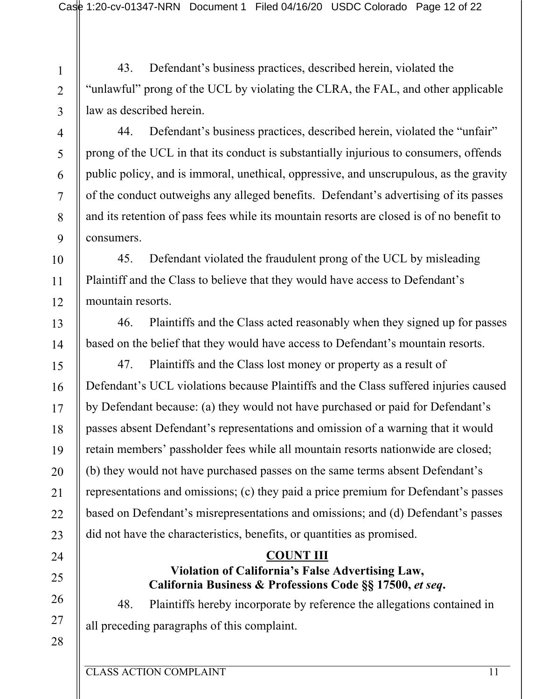43. Defendant's business practices, described herein, violated the "unlawful" prong of the UCL by violating the CLRA, the FAL, and other applicable law as described herein.

3 4

5

6

7

8

9

10

11

12

13

14

15

16

17

18

19

20

21

22

23

24

25

26

27

28

1

2

44. Defendant's business practices, described herein, violated the "unfair" prong of the UCL in that its conduct is substantially injurious to consumers, offends public policy, and is immoral, unethical, oppressive, and unscrupulous, as the gravity of the conduct outweighs any alleged benefits. Defendant's advertising of its passes and its retention of pass fees while its mountain resorts are closed is of no benefit to consumers.

45. Defendant violated the fraudulent prong of the UCL by misleading Plaintiff and the Class to believe that they would have access to Defendant's mountain resorts.

46. Plaintiffs and the Class acted reasonably when they signed up for passes based on the belief that they would have access to Defendant's mountain resorts.

47. Plaintiffs and the Class lost money or property as a result of Defendant's UCL violations because Plaintiffs and the Class suffered injuries caused by Defendant because: (a) they would not have purchased or paid for Defendant's passes absent Defendant's representations and omission of a warning that it would retain members' passholder fees while all mountain resorts nationwide are closed; (b) they would not have purchased passes on the same terms absent Defendant's representations and omissions; (c) they paid a price premium for Defendant's passes based on Defendant's misrepresentations and omissions; and (d) Defendant's passes did not have the characteristics, benefits, or quantities as promised.

# **COUNT III**

# **Violation of California's False Advertising Law, California Business & Professions Code §§ 17500,** *et seq***.**

48. Plaintiffs hereby incorporate by reference the allegations contained in all preceding paragraphs of this complaint.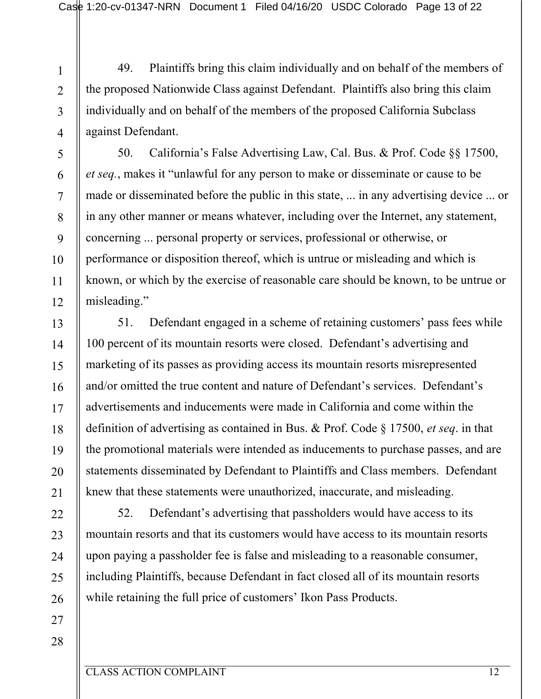49. Plaintiffs bring this claim individually and on behalf of the members of the proposed Nationwide Class against Defendant. Plaintiffs also bring this claim individually and on behalf of the members of the proposed California Subclass against Defendant.

50. California's False Advertising Law, Cal. Bus. & Prof. Code §§ 17500, *et seq.*, makes it "unlawful for any person to make or disseminate or cause to be made or disseminated before the public in this state, ... in any advertising device ... or in any other manner or means whatever, including over the Internet, any statement, concerning ... personal property or services, professional or otherwise, or performance or disposition thereof, which is untrue or misleading and which is known, or which by the exercise of reasonable care should be known, to be untrue or misleading."

51. Defendant engaged in a scheme of retaining customers' pass fees while 100 percent of its mountain resorts were closed. Defendant's advertising and marketing of its passes as providing access its mountain resorts misrepresented and/or omitted the true content and nature of Defendant's services. Defendant's advertisements and inducements were made in California and come within the definition of advertising as contained in Bus. & Prof. Code § 17500, *et seq*. in that the promotional materials were intended as inducements to purchase passes, and are statements disseminated by Defendant to Plaintiffs and Class members. Defendant knew that these statements were unauthorized, inaccurate, and misleading.

52. Defendant's advertising that passholders would have access to its mountain resorts and that its customers would have access to its mountain resorts upon paying a passholder fee is false and misleading to a reasonable consumer, including Plaintiffs, because Defendant in fact closed all of its mountain resorts while retaining the full price of customers' Ikon Pass Products.

26 27 28

1

2

3

4

5

6

7

8

9

10

11

12

13

14

15

16

17

18

19

20

21

22

23

24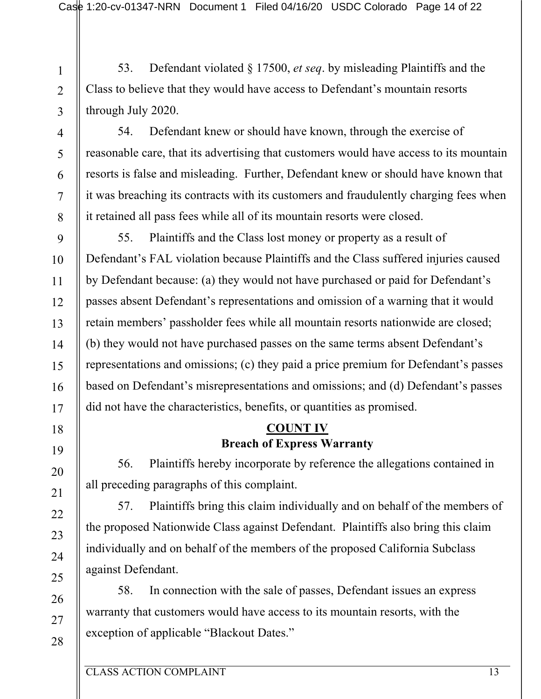53. Defendant violated § 17500, *et seq*. by misleading Plaintiffs and the Class to believe that they would have access to Defendant's mountain resorts through July 2020.

3 4

1

2

54. Defendant knew or should have known, through the exercise of reasonable care, that its advertising that customers would have access to its mountain resorts is false and misleading. Further, Defendant knew or should have known that it was breaching its contracts with its customers and fraudulently charging fees when it retained all pass fees while all of its mountain resorts were closed.

55. Plaintiffs and the Class lost money or property as a result of Defendant's FAL violation because Plaintiffs and the Class suffered injuries caused by Defendant because: (a) they would not have purchased or paid for Defendant's passes absent Defendant's representations and omission of a warning that it would retain members' passholder fees while all mountain resorts nationwide are closed; (b) they would not have purchased passes on the same terms absent Defendant's representations and omissions; (c) they paid a price premium for Defendant's passes based on Defendant's misrepresentations and omissions; and (d) Defendant's passes did not have the characteristics, benefits, or quantities as promised.

### **COUNT IV Breach of Express Warranty**

56. Plaintiffs hereby incorporate by reference the allegations contained in all preceding paragraphs of this complaint.

57. Plaintiffs bring this claim individually and on behalf of the members of the proposed Nationwide Class against Defendant. Plaintiffs also bring this claim individually and on behalf of the members of the proposed California Subclass against Defendant.

58. In connection with the sale of passes, Defendant issues an express warranty that customers would have access to its mountain resorts, with the exception of applicable "Blackout Dates."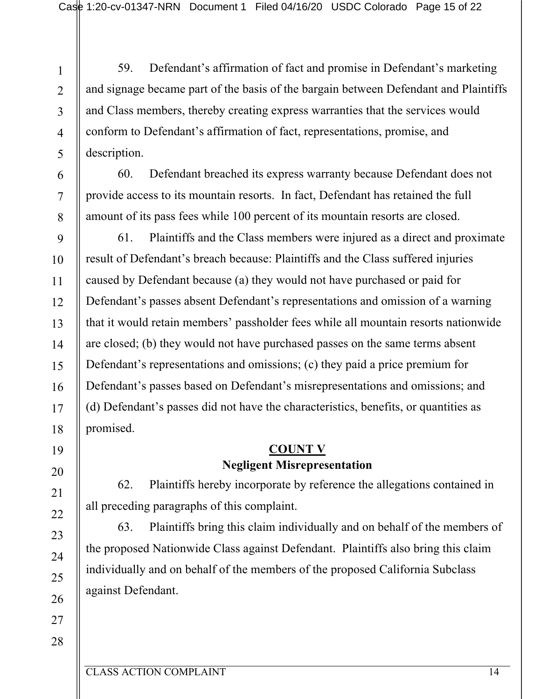59. Defendant's affirmation of fact and promise in Defendant's marketing and signage became part of the basis of the bargain between Defendant and Plaintiffs and Class members, thereby creating express warranties that the services would conform to Defendant's affirmation of fact, representations, promise, and description.

60. Defendant breached its express warranty because Defendant does not provide access to its mountain resorts. In fact, Defendant has retained the full amount of its pass fees while 100 percent of its mountain resorts are closed.

61. Plaintiffs and the Class members were injured as a direct and proximate result of Defendant's breach because: Plaintiffs and the Class suffered injuries caused by Defendant because (a) they would not have purchased or paid for Defendant's passes absent Defendant's representations and omission of a warning that it would retain members' passholder fees while all mountain resorts nationwide are closed; (b) they would not have purchased passes on the same terms absent Defendant's representations and omissions; (c) they paid a price premium for Defendant's passes based on Defendant's misrepresentations and omissions; and (d) Defendant's passes did not have the characteristics, benefits, or quantities as promised.

# **COUNT V Negligent Misrepresentation**

62. Plaintiffs hereby incorporate by reference the allegations contained in all preceding paragraphs of this complaint.

63. Plaintiffs bring this claim individually and on behalf of the members of the proposed Nationwide Class against Defendant. Plaintiffs also bring this claim individually and on behalf of the members of the proposed California Subclass against Defendant.

1

2

3

4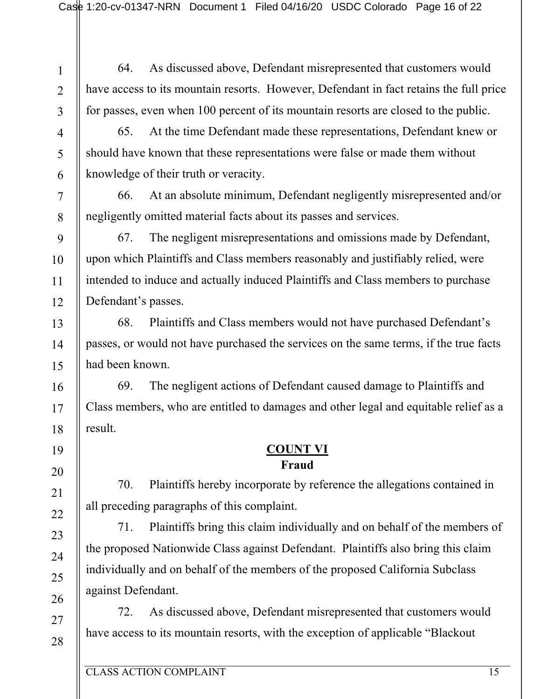1 2

64. As discussed above, Defendant misrepresented that customers would have access to its mountain resorts. However, Defendant in fact retains the full price for passes, even when 100 percent of its mountain resorts are closed to the public.

65. At the time Defendant made these representations, Defendant knew or should have known that these representations were false or made them without knowledge of their truth or veracity.

66. At an absolute minimum, Defendant negligently misrepresented and/or negligently omitted material facts about its passes and services.

67. The negligent misrepresentations and omissions made by Defendant, upon which Plaintiffs and Class members reasonably and justifiably relied, were intended to induce and actually induced Plaintiffs and Class members to purchase Defendant's passes.

68. Plaintiffs and Class members would not have purchased Defendant's passes, or would not have purchased the services on the same terms, if the true facts had been known.

69. The negligent actions of Defendant caused damage to Plaintiffs and Class members, who are entitled to damages and other legal and equitable relief as a result.

## **COUNT VI Fraud**

70. Plaintiffs hereby incorporate by reference the allegations contained in all preceding paragraphs of this complaint.

71. Plaintiffs bring this claim individually and on behalf of the members of the proposed Nationwide Class against Defendant. Plaintiffs also bring this claim individually and on behalf of the members of the proposed California Subclass against Defendant.

72. As discussed above, Defendant misrepresented that customers would have access to its mountain resorts, with the exception of applicable "Blackout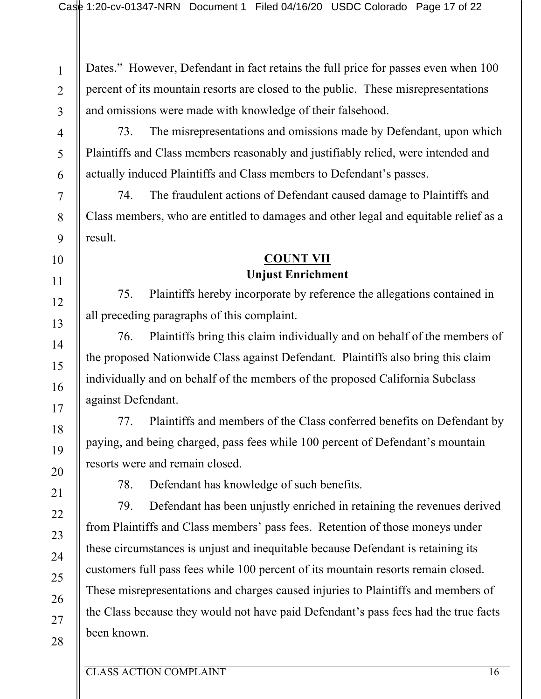Dates." However, Defendant in fact retains the full price for passes even when 100 percent of its mountain resorts are closed to the public. These misrepresentations and omissions were made with knowledge of their falsehood.

73. The misrepresentations and omissions made by Defendant, upon which Plaintiffs and Class members reasonably and justifiably relied, were intended and actually induced Plaintiffs and Class members to Defendant's passes.

74. The fraudulent actions of Defendant caused damage to Plaintiffs and Class members, who are entitled to damages and other legal and equitable relief as a result.

### **COUNT VII Unjust Enrichment**

75. Plaintiffs hereby incorporate by reference the allegations contained in all preceding paragraphs of this complaint.

76. Plaintiffs bring this claim individually and on behalf of the members of the proposed Nationwide Class against Defendant. Plaintiffs also bring this claim individually and on behalf of the members of the proposed California Subclass against Defendant.

77. Plaintiffs and members of the Class conferred benefits on Defendant by paying, and being charged, pass fees while 100 percent of Defendant's mountain resorts were and remain closed.

78. Defendant has knowledge of such benefits.

79. Defendant has been unjustly enriched in retaining the revenues derived from Plaintiffs and Class members' pass fees. Retention of those moneys under these circumstances is unjust and inequitable because Defendant is retaining its customers full pass fees while 100 percent of its mountain resorts remain closed. These misrepresentations and charges caused injuries to Plaintiffs and members of the Class because they would not have paid Defendant's pass fees had the true facts been known.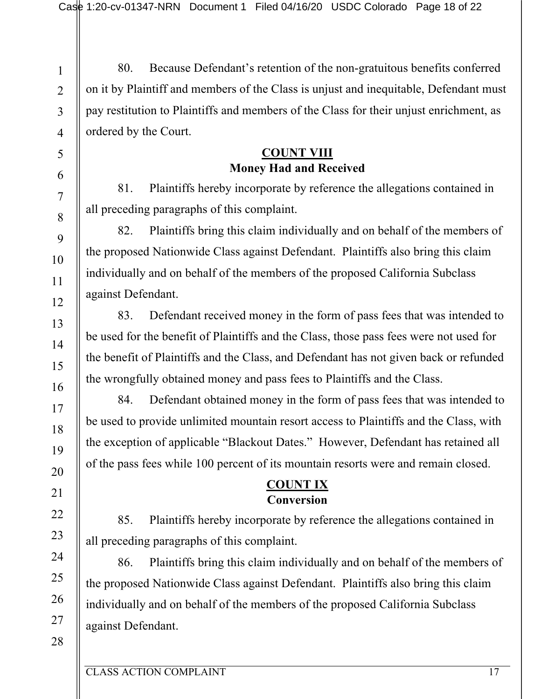80. Because Defendant's retention of the non-gratuitous benefits conferred on it by Plaintiff and members of the Class is unjust and inequitable, Defendant must pay restitution to Plaintiffs and members of the Class for their unjust enrichment, as ordered by the Court.

## **COUNT VIII Money Had and Received**

81. Plaintiffs hereby incorporate by reference the allegations contained in all preceding paragraphs of this complaint.

82. Plaintiffs bring this claim individually and on behalf of the members of the proposed Nationwide Class against Defendant. Plaintiffs also bring this claim individually and on behalf of the members of the proposed California Subclass against Defendant.

83. Defendant received money in the form of pass fees that was intended to be used for the benefit of Plaintiffs and the Class, those pass fees were not used for the benefit of Plaintiffs and the Class, and Defendant has not given back or refunded the wrongfully obtained money and pass fees to Plaintiffs and the Class.

84. Defendant obtained money in the form of pass fees that was intended to be used to provide unlimited mountain resort access to Plaintiffs and the Class, with the exception of applicable "Blackout Dates." However, Defendant has retained all of the pass fees while 100 percent of its mountain resorts were and remain closed.

# **COUNT IX Conversion**

85. Plaintiffs hereby incorporate by reference the allegations contained in all preceding paragraphs of this complaint.

86. Plaintiffs bring this claim individually and on behalf of the members of the proposed Nationwide Class against Defendant. Plaintiffs also bring this claim individually and on behalf of the members of the proposed California Subclass against Defendant.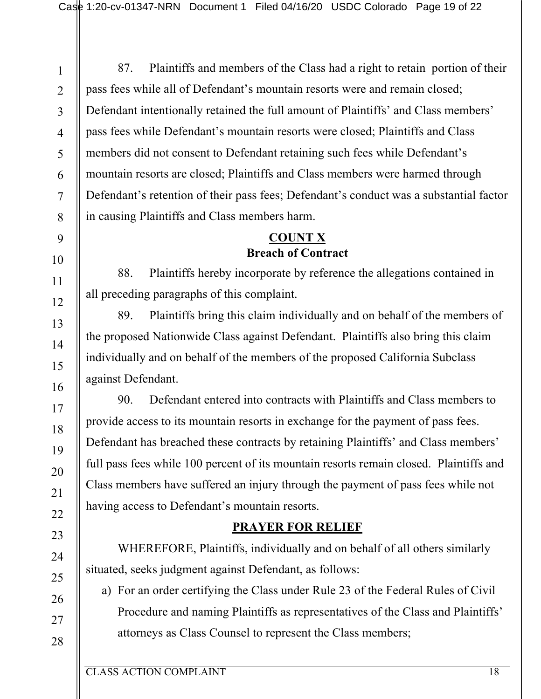1

87. Plaintiffs and members of the Class had a right to retain portion of their pass fees while all of Defendant's mountain resorts were and remain closed; Defendant intentionally retained the full amount of Plaintiffs' and Class members' pass fees while Defendant's mountain resorts were closed; Plaintiffs and Class members did not consent to Defendant retaining such fees while Defendant's mountain resorts are closed; Plaintiffs and Class members were harmed through Defendant's retention of their pass fees; Defendant's conduct was a substantial factor in causing Plaintiffs and Class members harm.

# **COUNT X Breach of Contract**

88. Plaintiffs hereby incorporate by reference the allegations contained in all preceding paragraphs of this complaint.

89. Plaintiffs bring this claim individually and on behalf of the members of the proposed Nationwide Class against Defendant. Plaintiffs also bring this claim individually and on behalf of the members of the proposed California Subclass against Defendant.

90. Defendant entered into contracts with Plaintiffs and Class members to provide access to its mountain resorts in exchange for the payment of pass fees. Defendant has breached these contracts by retaining Plaintiffs' and Class members' full pass fees while 100 percent of its mountain resorts remain closed. Plaintiffs and Class members have suffered an injury through the payment of pass fees while not having access to Defendant's mountain resorts.

# **PRAYER FOR RELIEF**

WHEREFORE, Plaintiffs, individually and on behalf of all others similarly situated, seeks judgment against Defendant, as follows:

a) For an order certifying the Class under Rule 23 of the Federal Rules of Civil Procedure and naming Plaintiffs as representatives of the Class and Plaintiffs' attorneys as Class Counsel to represent the Class members;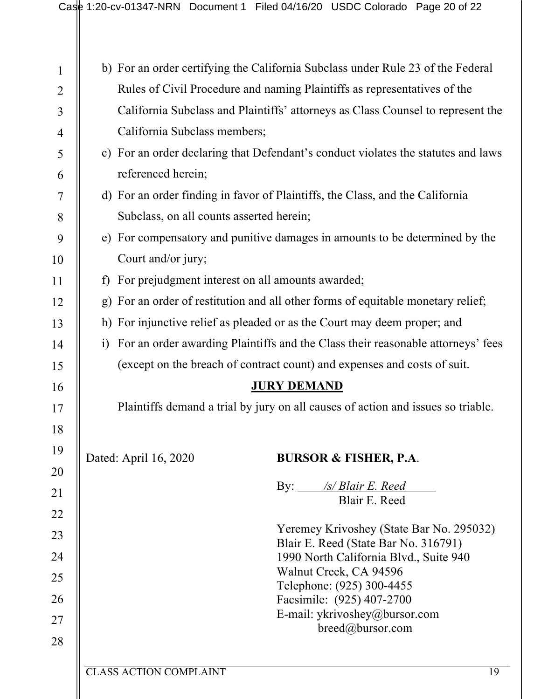|                                                                                                                                                                                                                                                                  | California Subclass members;<br>referenced herein;<br>Subclass, on all counts asserted herein;<br>Court and/or jury; | b) For an order certifying the California Subclass under Rule 23 of the Federal<br>Rules of Civil Procedure and naming Plaintiffs as representatives of the<br>California Subclass and Plaintiffs' attorneys as Class Counsel to represent the<br>c) For an order declaring that Defendant's conduct violates the statutes and laws<br>d) For an order finding in favor of Plaintiffs, the Class, and the California<br>e) For compensatory and punitive damages in amounts to be determined by the |  |  |  |                                                                                  |                       |                                  |  |  |  |
|------------------------------------------------------------------------------------------------------------------------------------------------------------------------------------------------------------------------------------------------------------------|----------------------------------------------------------------------------------------------------------------------|-----------------------------------------------------------------------------------------------------------------------------------------------------------------------------------------------------------------------------------------------------------------------------------------------------------------------------------------------------------------------------------------------------------------------------------------------------------------------------------------------------|--|--|--|----------------------------------------------------------------------------------|-----------------------|----------------------------------|--|--|--|
|                                                                                                                                                                                                                                                                  |                                                                                                                      |                                                                                                                                                                                                                                                                                                                                                                                                                                                                                                     |  |  |  |                                                                                  |                       |                                  |  |  |  |
|                                                                                                                                                                                                                                                                  |                                                                                                                      |                                                                                                                                                                                                                                                                                                                                                                                                                                                                                                     |  |  |  |                                                                                  |                       |                                  |  |  |  |
|                                                                                                                                                                                                                                                                  |                                                                                                                      |                                                                                                                                                                                                                                                                                                                                                                                                                                                                                                     |  |  |  |                                                                                  |                       |                                  |  |  |  |
|                                                                                                                                                                                                                                                                  |                                                                                                                      |                                                                                                                                                                                                                                                                                                                                                                                                                                                                                                     |  |  |  |                                                                                  |                       |                                  |  |  |  |
|                                                                                                                                                                                                                                                                  |                                                                                                                      |                                                                                                                                                                                                                                                                                                                                                                                                                                                                                                     |  |  |  |                                                                                  |                       |                                  |  |  |  |
|                                                                                                                                                                                                                                                                  |                                                                                                                      |                                                                                                                                                                                                                                                                                                                                                                                                                                                                                                     |  |  |  |                                                                                  |                       |                                  |  |  |  |
|                                                                                                                                                                                                                                                                  |                                                                                                                      |                                                                                                                                                                                                                                                                                                                                                                                                                                                                                                     |  |  |  |                                                                                  |                       |                                  |  |  |  |
|                                                                                                                                                                                                                                                                  |                                                                                                                      |                                                                                                                                                                                                                                                                                                                                                                                                                                                                                                     |  |  |  |                                                                                  |                       |                                  |  |  |  |
|                                                                                                                                                                                                                                                                  |                                                                                                                      |                                                                                                                                                                                                                                                                                                                                                                                                                                                                                                     |  |  |  |                                                                                  |                       |                                  |  |  |  |
|                                                                                                                                                                                                                                                                  |                                                                                                                      |                                                                                                                                                                                                                                                                                                                                                                                                                                                                                                     |  |  |  |                                                                                  |                       |                                  |  |  |  |
|                                                                                                                                                                                                                                                                  |                                                                                                                      | f) For prejudgment interest on all amounts awarded;                                                                                                                                                                                                                                                                                                                                                                                                                                                 |  |  |  |                                                                                  |                       |                                  |  |  |  |
|                                                                                                                                                                                                                                                                  | g) For an order of restitution and all other forms of equitable monetary relief;                                     |                                                                                                                                                                                                                                                                                                                                                                                                                                                                                                     |  |  |  |                                                                                  |                       |                                  |  |  |  |
| h) For injunctive relief as pleaded or as the Court may deem proper; and<br>i) For an order awarding Plaintiffs and the Class their reasonable attorneys' fees<br>(except on the breach of contract count) and expenses and costs of suit.<br><b>JURY DEMAND</b> |                                                                                                                      |                                                                                                                                                                                                                                                                                                                                                                                                                                                                                                     |  |  |  |                                                                                  |                       |                                  |  |  |  |
|                                                                                                                                                                                                                                                                  |                                                                                                                      |                                                                                                                                                                                                                                                                                                                                                                                                                                                                                                     |  |  |  | Plaintiffs demand a trial by jury on all causes of action and issues so triable. |                       |                                  |  |  |  |
|                                                                                                                                                                                                                                                                  |                                                                                                                      |                                                                                                                                                                                                                                                                                                                                                                                                                                                                                                     |  |  |  |                                                                                  |                       |                                  |  |  |  |
|                                                                                                                                                                                                                                                                  |                                                                                                                      |                                                                                                                                                                                                                                                                                                                                                                                                                                                                                                     |  |  |  |                                                                                  | Dated: April 16, 2020 | <b>BURSOR &amp; FISHER, P.A.</b> |  |  |  |
|                                                                                                                                                                                                                                                                  |                                                                                                                      | /s/ Blair E. Reed<br>By: $\qquad \qquad$                                                                                                                                                                                                                                                                                                                                                                                                                                                            |  |  |  |                                                                                  |                       |                                  |  |  |  |
|                                                                                                                                                                                                                                                                  |                                                                                                                      | Blair E. Reed                                                                                                                                                                                                                                                                                                                                                                                                                                                                                       |  |  |  |                                                                                  |                       |                                  |  |  |  |
|                                                                                                                                                                                                                                                                  |                                                                                                                      | Yeremey Krivoshey (State Bar No. 295032)                                                                                                                                                                                                                                                                                                                                                                                                                                                            |  |  |  |                                                                                  |                       |                                  |  |  |  |
|                                                                                                                                                                                                                                                                  |                                                                                                                      | Blair E. Reed (State Bar No. 316791)                                                                                                                                                                                                                                                                                                                                                                                                                                                                |  |  |  |                                                                                  |                       |                                  |  |  |  |
|                                                                                                                                                                                                                                                                  |                                                                                                                      | 1990 North California Blvd., Suite 940                                                                                                                                                                                                                                                                                                                                                                                                                                                              |  |  |  |                                                                                  |                       |                                  |  |  |  |
|                                                                                                                                                                                                                                                                  |                                                                                                                      | Walnut Creek, CA 94596                                                                                                                                                                                                                                                                                                                                                                                                                                                                              |  |  |  |                                                                                  |                       |                                  |  |  |  |
|                                                                                                                                                                                                                                                                  |                                                                                                                      | Telephone: (925) 300-4455<br>Facsimile: (925) 407-2700                                                                                                                                                                                                                                                                                                                                                                                                                                              |  |  |  |                                                                                  |                       |                                  |  |  |  |
|                                                                                                                                                                                                                                                                  |                                                                                                                      | E-mail: ykrivoshey@bursor.com                                                                                                                                                                                                                                                                                                                                                                                                                                                                       |  |  |  |                                                                                  |                       |                                  |  |  |  |
|                                                                                                                                                                                                                                                                  |                                                                                                                      | breed@bursor.com                                                                                                                                                                                                                                                                                                                                                                                                                                                                                    |  |  |  |                                                                                  |                       |                                  |  |  |  |
|                                                                                                                                                                                                                                                                  | <b>CLASS ACTION COMPLAINT</b>                                                                                        |                                                                                                                                                                                                                                                                                                                                                                                                                                                                                                     |  |  |  |                                                                                  |                       |                                  |  |  |  |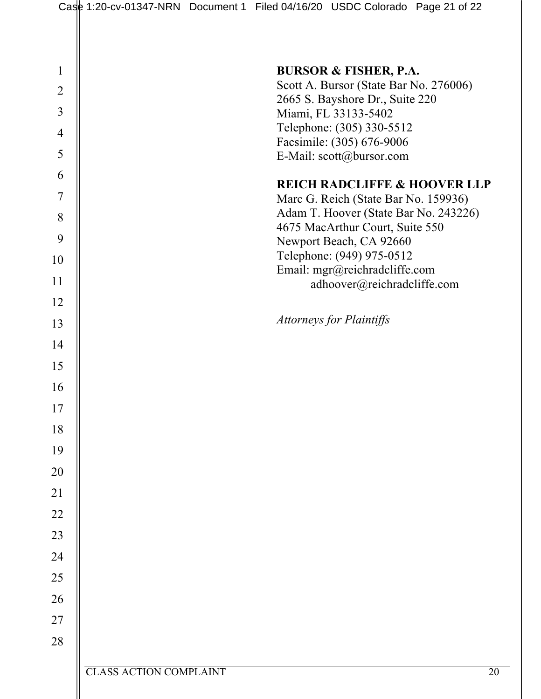| $\mathbf{1}$   |                               | <b>BURSOR &amp; FISHER, P.A.</b>                                                |
|----------------|-------------------------------|---------------------------------------------------------------------------------|
| $\overline{2}$ |                               | Scott A. Bursor (State Bar No. 276006)                                          |
| $\overline{3}$ |                               | 2665 S. Bayshore Dr., Suite 220<br>Miami, FL 33133-5402                         |
| $\overline{4}$ |                               | Telephone: (305) 330-5512                                                       |
| 5              |                               | Facsimile: (305) 676-9006<br>E-Mail: scott@bursor.com                           |
| 6              |                               |                                                                                 |
| $\overline{7}$ |                               | <b>REICH RADCLIFFE &amp; HOOVER LLP</b><br>Marc G. Reich (State Bar No. 159936) |
| 8              |                               | Adam T. Hoover (State Bar No. 243226)                                           |
| 9              |                               | 4675 MacArthur Court, Suite 550<br>Newport Beach, CA 92660                      |
| 10             |                               | Telephone: (949) 975-0512                                                       |
| 11             |                               | Email: mgr@reichradcliffe.com<br>adhoover@reichradcliffe.com                    |
| 12             |                               |                                                                                 |
| 13             |                               | <b>Attorneys for Plaintiffs</b>                                                 |
| 14             |                               |                                                                                 |
| 15             |                               |                                                                                 |
| 16             |                               |                                                                                 |
| 17             |                               |                                                                                 |
| 18             |                               |                                                                                 |
| 19             |                               |                                                                                 |
| 20             |                               |                                                                                 |
| 21             |                               |                                                                                 |
| 22             |                               |                                                                                 |
| 23             |                               |                                                                                 |
| 24             |                               |                                                                                 |
| 25             |                               |                                                                                 |
| 26             |                               |                                                                                 |
| $27\,$         |                               |                                                                                 |
| 28             |                               |                                                                                 |
|                | <b>CLASS ACTION COMPLAINT</b> | 20                                                                              |
|                |                               |                                                                                 |
|                |                               |                                                                                 |